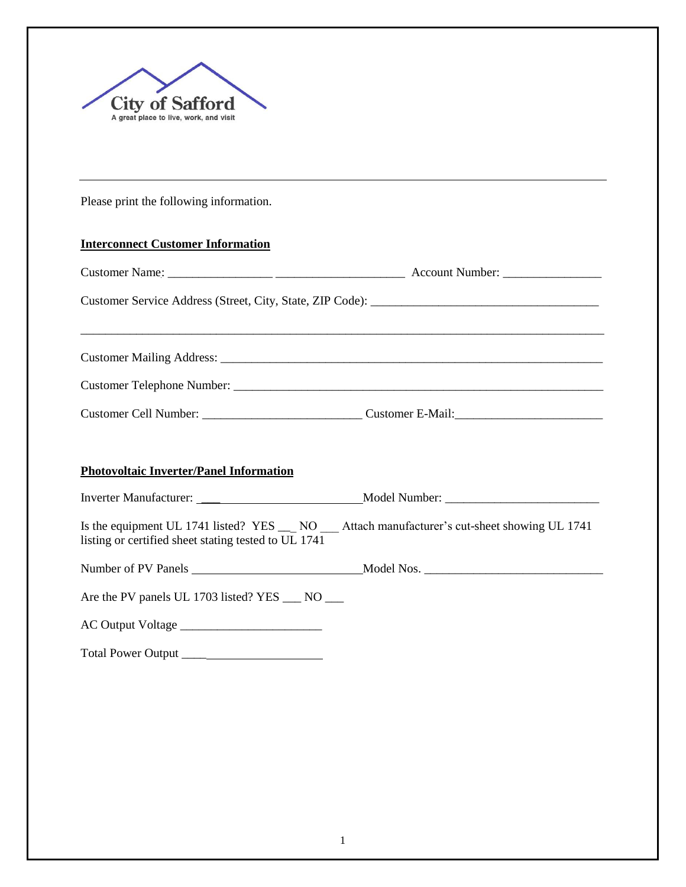

Please print the following information.

## **Interconnect Customer Information**

|  | Customer Cell Number: Customer E-Mail: |  |  |
|--|----------------------------------------|--|--|

## **Photovoltaic Inverter/Panel Information**

| <b>Inverter Manufacturer:</b> | Model Number: |
|-------------------------------|---------------|
|                               |               |

Is the equipment UL 1741 listed? YES \_\_\_ NO \_\_\_ Attach manufacturer's cut-sheet showing UL 1741 listing or certified sheet stating tested to UL 1741

| Number of PV Panels | Model<br>NOS. |  |
|---------------------|---------------|--|
|                     |               |  |

Are the PV panels UL 1703 listed? YES \_\_\_ NO \_\_\_

AC Output Voltage \_\_\_\_\_\_\_\_\_\_\_\_\_\_\_\_\_\_\_\_\_\_\_

Total Power Output \_\_\_\_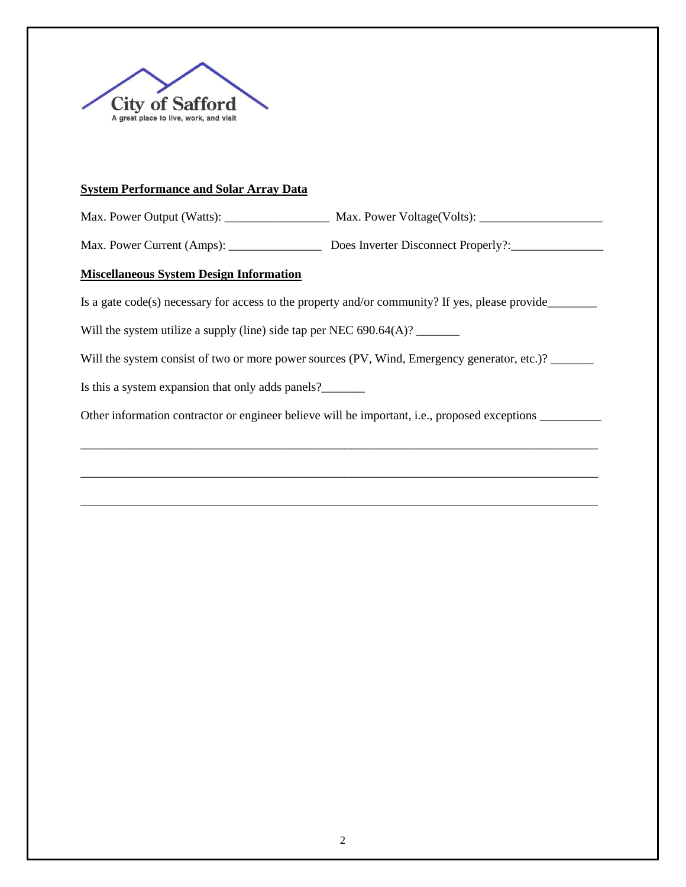

## **System Performance and Solar Array Data**

Max. Power Output (Watts): \_\_\_\_\_\_\_\_\_\_\_\_\_\_\_\_\_ Max. Power Voltage(Volts): \_\_\_\_\_\_\_\_\_\_\_\_\_\_\_\_\_\_\_\_

Max. Power Current (Amps): \_\_\_\_\_\_\_\_\_\_\_\_\_\_\_\_\_\_\_\_\_\_\_\_ Does Inverter Disconnect Properly?: \_\_\_\_\_\_\_\_\_\_\_\_\_\_\_\_\_\_

# **Miscellaneous System Design Information**

Is a gate code(s) necessary for access to the property and/or community? If yes, please provide\_\_\_\_\_\_\_\_\_\_\_\_\_\_\_

Will the system utilize a supply (line) side tap per NEC 690.64(A)?

Will the system consist of two or more power sources (PV, Wind, Emergency generator, etc.)?

Is this a system expansion that only adds panels?\_\_\_\_\_\_\_

Other information contractor or engineer believe will be important, i.e., proposed exceptions

\_\_\_\_\_\_\_\_\_\_\_\_\_\_\_\_\_\_\_\_\_\_\_\_\_\_\_\_\_\_\_\_\_\_\_\_\_\_\_\_\_\_\_\_\_\_\_\_\_\_\_\_\_\_\_\_\_\_\_\_\_\_\_\_\_\_\_\_\_\_\_\_\_\_\_\_\_\_\_\_\_\_\_\_

\_\_\_\_\_\_\_\_\_\_\_\_\_\_\_\_\_\_\_\_\_\_\_\_\_\_\_\_\_\_\_\_\_\_\_\_\_\_\_\_\_\_\_\_\_\_\_\_\_\_\_\_\_\_\_\_\_\_\_\_\_\_\_\_\_\_\_\_\_\_\_\_\_\_\_\_\_\_\_\_\_\_\_\_

\_\_\_\_\_\_\_\_\_\_\_\_\_\_\_\_\_\_\_\_\_\_\_\_\_\_\_\_\_\_\_\_\_\_\_\_\_\_\_\_\_\_\_\_\_\_\_\_\_\_\_\_\_\_\_\_\_\_\_\_\_\_\_\_\_\_\_\_\_\_\_\_\_\_\_\_\_\_\_\_\_\_\_\_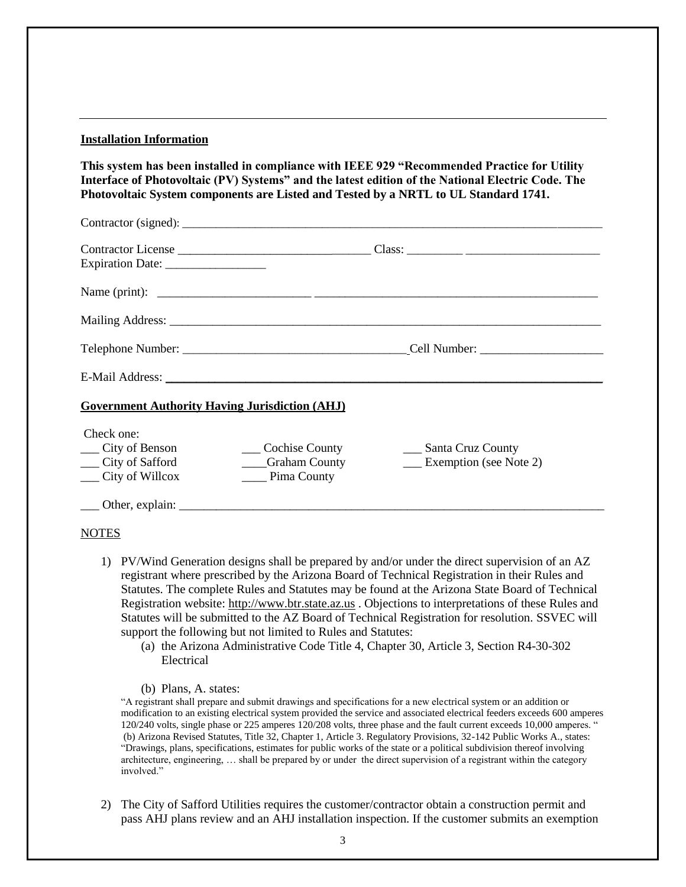#### **Installation Information**

**This system has been installed in compliance with IEEE 929 "Recommended Practice for Utility Interface of Photovoltaic (PV) Systems" and the latest edition of the National Electric Code. The Photovoltaic System components are Listed and Tested by a NRTL to UL Standard 1741.**

| <b>Government Authority Having Jurisdiction (AHJ)</b>                         |                                                        |                                                        |
|-------------------------------------------------------------------------------|--------------------------------------------------------|--------------------------------------------------------|
| Check one:<br>___ City of Benson<br>___ City of Safford<br>__ City of Willcox | ___ Cochise County<br>____Graham County<br>Pima County | ___ Santa Cruz County<br><b>Exemption</b> (see Note 2) |
|                                                                               |                                                        |                                                        |
| <b>NOTES</b>                                                                  |                                                        |                                                        |

- 1) PV/Wind Generation designs shall be prepared by and/or under the direct supervision of an AZ registrant where prescribed by the Arizona Board of Technical Registration in their Rules and Statutes. The complete Rules and Statutes may be found at the Arizona State Board of Technical Registration website: [http://www.btr.state.az.us](http://www.btr.state.az.us/) . Objections to interpretations of these Rules and Statutes will be submitted to the AZ Board of Technical Registration for resolution. SSVEC will support the following but not limited to Rules and Statutes:
	- (a) the Arizona Administrative Code Title 4, Chapter 30, Article 3, Section R4-30-302 Electrical
	- (b) Plans, A. states:

"A registrant shall prepare and submit drawings and specifications for a new electrical system or an addition or modification to an existing electrical system provided the service and associated electrical feeders exceeds 600 amperes 120/240 volts, single phase or 225 amperes 120/208 volts, three phase and the fault current exceeds 10,000 amperes. " (b) Arizona Revised Statutes, Title 32, Chapter 1, Article 3. Regulatory Provisions, 32-142 Public Works A., states: "Drawings, plans, specifications, estimates for public works of the state or a political subdivision thereof involving architecture, engineering, … shall be prepared by or under the direct supervision of a registrant within the category involved."

2) The City of Safford Utilities requires the customer/contractor obtain a construction permit and pass AHJ plans review and an AHJ installation inspection. If the customer submits an exemption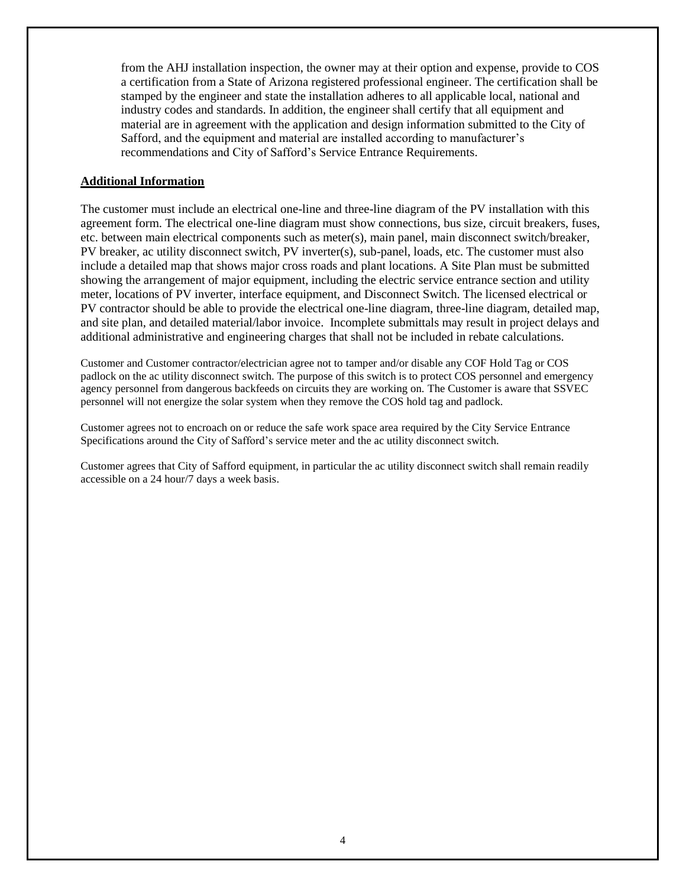from the AHJ installation inspection, the owner may at their option and expense, provide to COS a certification from a State of Arizona registered professional engineer. The certification shall be stamped by the engineer and state the installation adheres to all applicable local, national and industry codes and standards. In addition, the engineer shall certify that all equipment and material are in agreement with the application and design information submitted to the City of Safford, and the equipment and material are installed according to manufacturer's recommendations and City of Safford's Service Entrance Requirements.

## **Additional Information**

The customer must include an electrical one-line and three-line diagram of the PV installation with this agreement form. The electrical one-line diagram must show connections, bus size, circuit breakers, fuses, etc. between main electrical components such as meter(s), main panel, main disconnect switch/breaker, PV breaker, ac utility disconnect switch, PV inverter(s), sub-panel, loads, etc. The customer must also include a detailed map that shows major cross roads and plant locations. A Site Plan must be submitted showing the arrangement of major equipment, including the electric service entrance section and utility meter, locations of PV inverter, interface equipment, and Disconnect Switch. The licensed electrical or PV contractor should be able to provide the electrical one-line diagram, three-line diagram, detailed map, and site plan, and detailed material/labor invoice. Incomplete submittals may result in project delays and additional administrative and engineering charges that shall not be included in rebate calculations.

Customer and Customer contractor/electrician agree not to tamper and/or disable any COF Hold Tag or COS padlock on the ac utility disconnect switch. The purpose of this switch is to protect COS personnel and emergency agency personnel from dangerous backfeeds on circuits they are working on. The Customer is aware that SSVEC personnel will not energize the solar system when they remove the COS hold tag and padlock.

Customer agrees not to encroach on or reduce the safe work space area required by the City Service Entrance Specifications around the City of Safford's service meter and the ac utility disconnect switch.

Customer agrees that City of Safford equipment, in particular the ac utility disconnect switch shall remain readily accessible on a 24 hour/7 days a week basis.